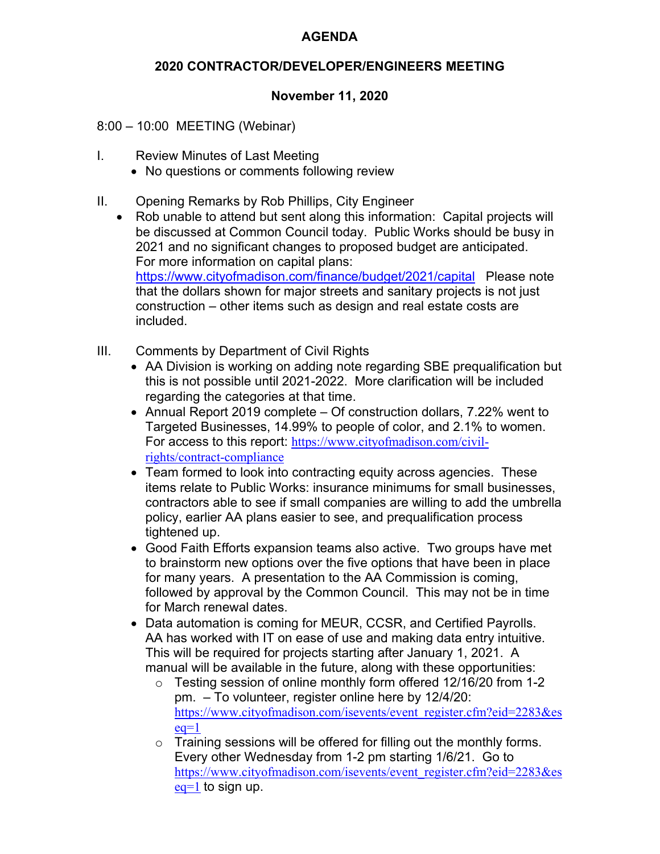## **AGENDA**

## **2020 CONTRACTOR/DEVELOPER/ENGINEERS MEETING**

# **November 11, 2020**

8:00 – 10:00 MEETING (Webinar)

- I. Review Minutes of Last Meeting
	- No questions or comments following review
- II. Opening Remarks by Rob Phillips, City Engineer
	- Rob unable to attend but sent along this information: Capital projects will be discussed at Common Council today. Public Works should be busy in 2021 and no significant changes to proposed budget are anticipated. For more information on capital plans: https://www.cityofmadison.com/finance/budget/2021/capital Please note that the dollars shown for major streets and sanitary projects is not just construction – other items such as design and real estate costs are included.
- III. Comments by Department of Civil Rights
	- AA Division is working on adding note regarding SBE prequalification but this is not possible until 2021-2022. More clarification will be included regarding the categories at that time.
	- Annual Report 2019 complete Of construction dollars, 7.22% went to Targeted Businesses, 14.99% to people of color, and 2.1% to women. For access to this report: https://www.cityofmadison.com/civilrights/contract-compliance
	- Team formed to look into contracting equity across agencies. These items relate to Public Works: insurance minimums for small businesses, contractors able to see if small companies are willing to add the umbrella policy, earlier AA plans easier to see, and prequalification process tightened up.
	- Good Faith Efforts expansion teams also active. Two groups have met to brainstorm new options over the five options that have been in place for many years. A presentation to the AA Commission is coming, followed by approval by the Common Council. This may not be in time for March renewal dates.
	- Data automation is coming for MEUR, CCSR, and Certified Payrolls. AA has worked with IT on ease of use and making data entry intuitive. This will be required for projects starting after January 1, 2021. A manual will be available in the future, along with these opportunities:
		- o Testing session of online monthly form offered 12/16/20 from 1-2 pm. – To volunteer, register online here by 12/4/20: https://www.cityofmadison.com/isevents/event\_register.cfm?eid=2283&es  $eq=1$
		- $\circ$  Training sessions will be offered for filling out the monthly forms. Every other Wednesday from 1-2 pm starting 1/6/21. Go to https://www.cityofmadison.com/isevents/event\_register.cfm?eid=2283&es  $eq=1$  to sign up.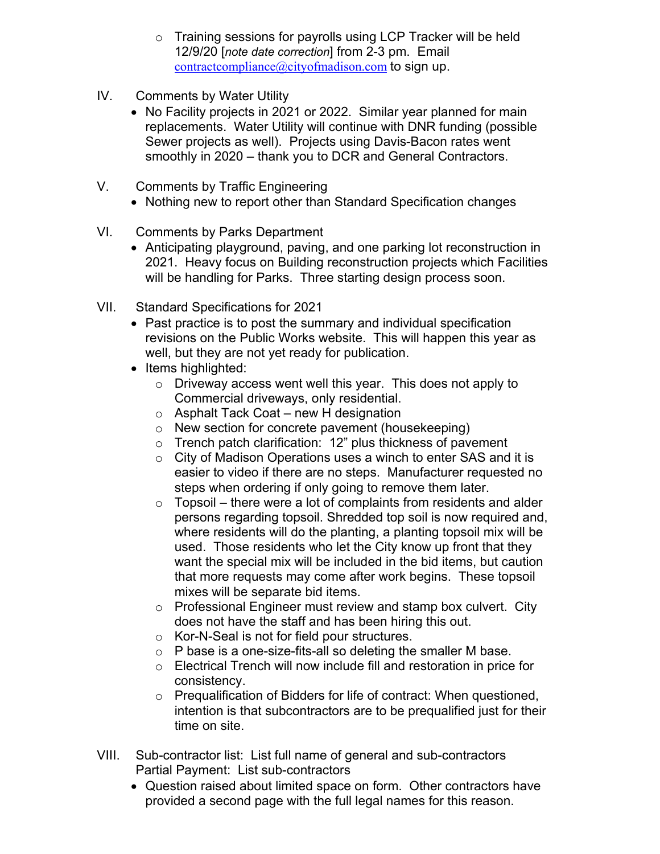- o Training sessions for payrolls using LCP Tracker will be held 12/9/20 [*note date correction*] from 2-3 pm. Email contractcompliance@cityofmadison.com to sign up.
- IV. Comments by Water Utility
	- No Facility projects in 2021 or 2022. Similar year planned for main replacements. Water Utility will continue with DNR funding (possible Sewer projects as well). Projects using Davis-Bacon rates went smoothly in 2020 – thank you to DCR and General Contractors.
- V. Comments by Traffic Engineering
	- Nothing new to report other than Standard Specification changes
- VI. Comments by Parks Department
	- Anticipating playground, paving, and one parking lot reconstruction in 2021. Heavy focus on Building reconstruction projects which Facilities will be handling for Parks. Three starting design process soon.
- VII. Standard Specifications for 2021
	- Past practice is to post the summary and individual specification revisions on the Public Works website. This will happen this year as well, but they are not yet ready for publication.
	- $\bullet$  Items highlighted:
		- o Driveway access went well this year. This does not apply to Commercial driveways, only residential.
		- $\circ$  Asphalt Tack Coat new H designation
		- o New section for concrete pavement (housekeeping)
		- $\circ$  Trench patch clarification: 12" plus thickness of pavement
		- o City of Madison Operations uses a winch to enter SAS and it is easier to video if there are no steps. Manufacturer requested no steps when ordering if only going to remove them later.
		- $\circ$  Topsoil there were a lot of complaints from residents and alder persons regarding topsoil. Shredded top soil is now required and, where residents will do the planting, a planting topsoil mix will be used. Those residents who let the City know up front that they want the special mix will be included in the bid items, but caution that more requests may come after work begins. These topsoil mixes will be separate bid items.
		- o Professional Engineer must review and stamp box culvert. City does not have the staff and has been hiring this out.
		- o Kor-N-Seal is not for field pour structures.
		- $\circ$  P base is a one-size-fits-all so deleting the smaller M base.
		- o Electrical Trench will now include fill and restoration in price for consistency.
		- o Prequalification of Bidders for life of contract: When questioned, intention is that subcontractors are to be prequalified just for their time on site.
- VIII. Sub-contractor list: List full name of general and sub-contractors Partial Payment: List sub-contractors
	- Question raised about limited space on form. Other contractors have provided a second page with the full legal names for this reason.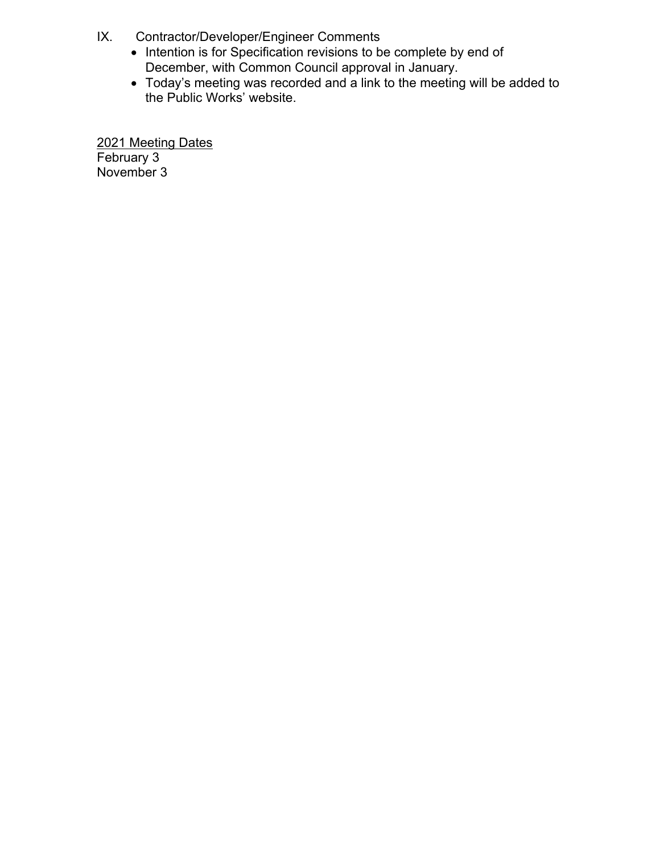- IX. Contractor/Developer/Engineer Comments
	- Intention is for Specification revisions to be complete by end of December, with Common Council approval in January.
	- Today's meeting was recorded and a link to the meeting will be added to the Public Works' website.

2021 Meeting Dates February 3 November 3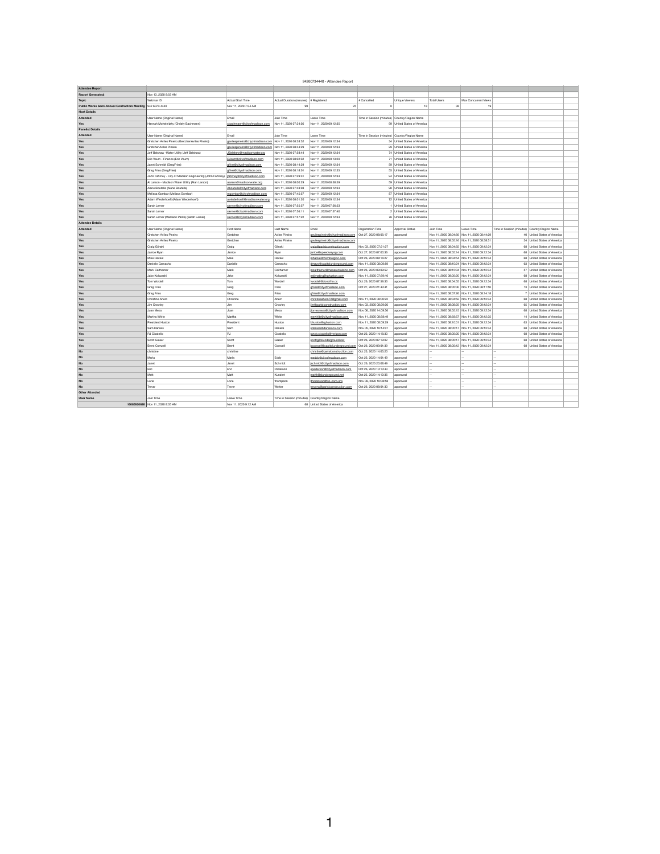# 94260734440 - Attendee Report

 $\overline{\mathbf{1}}$ 

| <b>Attendee Report</b>                                       |                                                                                        |                                                          |                                               |                                                         |                          |                                               |                          |                                                             |                               |  |
|--------------------------------------------------------------|----------------------------------------------------------------------------------------|----------------------------------------------------------|-----------------------------------------------|---------------------------------------------------------|--------------------------|-----------------------------------------------|--------------------------|-------------------------------------------------------------|-------------------------------|--|
| <b>Report Generated:</b>                                     | Nov 13, 2020 8:55 AM                                                                   |                                                          |                                               |                                                         |                          |                                               |                          |                                                             |                               |  |
| Topic                                                        | Webinar ID                                                                             | <b>Actual Start Time</b>                                 | Actual Duration (minutes) # Registered        |                                                         | # Cancelled              | <b>Unique Viewers</b>                         | <b>Total Users</b>       | Max Concurrent Views                                        |                               |  |
| Public Works Semi-Annual Contractors Meeting   942 6073 4440 |                                                                                        | Nov 11, 2020 7:34 AM                                     | 99                                            | 25                                                      |                          | 18                                            | 36                       | 19                                                          |                               |  |
| <b>Host Details</b>                                          |                                                                                        |                                                          |                                               |                                                         |                          |                                               |                          |                                                             |                               |  |
| <b>Attended</b>                                              | User Name (Original Name)                                                              | Email                                                    | Join Time                                     | Leave Time                                              |                          | Time in Session (minutes) Country/Region Name |                          |                                                             |                               |  |
| <b>Yes</b>                                                   | Hannah Mohelnitzky (Christy Bachmann)                                                  | cbachmann@cityofmadison.com                              | Nov 11, 2020 07:34:05                         | Nov 11, 2020 09:12:35                                   |                          | 99 United States of America                   |                          |                                                             |                               |  |
| <b>Panelist Details</b>                                      |                                                                                        |                                                          |                                               |                                                         |                          |                                               |                          |                                                             |                               |  |
| <b>Attended</b>                                              | User Name (Original Name)                                                              | Email                                                    | Join Time                                     | Leave Time                                              |                          | Time in Session (minutes) Country/Region Name |                          |                                                             |                               |  |
| Yes                                                          | Gretchen Aviles Pineiro (GretchenAviles Pineiro)                                       | gavilespineiro@cityofmadison.com                         | Nov 11, 2020 08:38:52                         | Nov 11, 2020 09:12:34                                   |                          | 34 United States of America                   |                          |                                                             |                               |  |
| Yes                                                          | GretchenAviles Pineiro                                                                 | gavilespineiro@cityofmadison.com   Nov 11, 2020 08:44:29 |                                               | Nov 11, 2020 09:12:34                                   |                          | 29 United States of America                   |                          |                                                             |                               |  |
| Yes                                                          | Jeff Belshaw - Water Utility (Jeff Belshaw)                                            | JBelshaw@madisonwater.org                                | Nov 11, 2020 07:58:44                         | Nov 11, 2020 09:12:34                                   |                          | 74 United States of America                   |                          |                                                             |                               |  |
| Yes                                                          | Eric Veum - Finance (Eric Veum)                                                        | EVeum@cityofmadison.com                                  | Nov 11, 2020 08:02:32                         | Nov 11, 2020 09:13:20                                   |                          | 71 United States of America                   |                          |                                                             |                               |  |
| Yes                                                          | Janet Schmidt (GregFries)                                                              | gfries@cityofmadison.com                                 | Nov 11, 2020 08:14:29                         | Nov 11, 2020 09:12:34                                   |                          | 59 United States of America                   |                          |                                                             |                               |  |
| Yes                                                          | Greg Fries (GregFries)                                                                 | gfries@cityofmadison.com                                 | Nov 11, 2020 08:18:01                         | Nov 11, 2020 09:12:35                                   |                          | 55   United States of America                 |                          |                                                             |                               |  |
| Yes                                                          | John Fahrney - City of Madison Engineering (John Fahrney)   jfahrney@cityofmadison.com |                                                          | Nov 11, 2020 07:39:31                         | Nov 11, 2020 09:12:34                                   |                          | 94 United States of America                   |                          |                                                             |                               |  |
| Yes                                                          | Al Larson - Madison Water Utility (Alan Larson)                                        | alarson@madisonwater.org                                 | Nov 11, 2020 08:00:29                         | Nov 11, 2020 08:58:59                                   |                          | 59 United States of America                   |                          |                                                             |                               |  |
| Yes                                                          | Alane Boutelle (Alane Boutelle)                                                        | Aboutelle@cityofmadison.com                              | Nov 11, 2020 07:43:03                         | Nov 11, 2020 09:12:34                                   |                          | 90 United States of America                   |                          |                                                             |                               |  |
| Yes                                                          | Melissa Gombar (Melissa Gombar)                                                        | mgombar@cityofmadison.com                                | Nov 11, 2020 07:45:57                         | Nov 11, 2020 09:12:34                                   |                          | 87 United States of America                   |                          |                                                             |                               |  |
| Yes                                                          | Adam Wiederhoeft (Adam Wiederhoeft)                                                    | awiederhoeft@madisonwater.org                            | Nov 11, 2020 08:01:20                         | Nov 11, 2020 09:12:34                                   |                          | 72 United States of America                   |                          |                                                             |                               |  |
| Yes                                                          | Sarah Lerner                                                                           | slerner@cityofmadison.com                                | Nov 11, 2020 07:55:57                         | Nov 11, 2020 07:56:53                                   |                          | 1 United States of America                    |                          |                                                             |                               |  |
| Yes                                                          | Sarah Lerner                                                                           | slerner@cityofmadison.com                                | Nov 11, 2020 07:56:11                         | Nov 11, 2020 07:57:40                                   |                          | 2 United States of America                    |                          |                                                             |                               |  |
| <b>Yes</b>                                                   | Sarah Lerner (Madison Parks) (Sarah Lerner)                                            | slerner@cityofmadison.com                                | Nov 11, 2020 07:57:22                         | Nov 11, 2020 09:12:34                                   |                          | 76 United States of America                   |                          |                                                             |                               |  |
| <b>Attendee Details</b>                                      |                                                                                        |                                                          |                                               |                                                         |                          |                                               |                          |                                                             |                               |  |
| <b>Attended</b>                                              | User Name (Original Name)                                                              | <b>First Name</b>                                        | Last Name                                     | Email                                                   | <b>Registration Time</b> | <b>Approval Status</b>                        | Join Time                | Time in Session (minutes) Country/Region Name<br>Leave Time |                               |  |
| Yes                                                          | Gretchen Aviles Pineiro                                                                | Gretchen                                                 | Aviles Pineiro                                | gavilespineiro@cityofmadison.com                        | Oct 27, 2020 08:05:17    | approved                                      |                          | Nov 11, 2020 08:04:56 Nov 11, 2020 08:44:29                 | 40   United States of America |  |
| Yes                                                          | Gretchen Aviles Pineiro                                                                | Gretchen                                                 | Aviles Pineiro                                | gavilespineiro@cityofmadison.com                        |                          |                                               |                          | Nov 11, 2020 08:05:16 Nov 11, 2020 08:38:51                 | 34   United States of America |  |
| Yes                                                          | Craig Glinski                                                                          | Craig                                                    | Glinski                                       | craig@parisiconstruction.com                            | Nov 03, 2020 07:21:07    | approved                                      |                          | Nov 11, 2020 08:04:55 Nov 11, 2020 09:12:34                 | 68   United States of America |  |
| Yes                                                          | Janice Ryan                                                                            | Janice                                                   | Ryan                                          | janice@speedwaysg.com                                   | Oct 27, 2020 07:00:36    | approved                                      |                          | Nov 11, 2020 08:05:14 Nov 11, 2020 09:12:34                 | 68 United States of America   |  |
| Yes                                                          | Mike Hackel                                                                            | Mike                                                     | Hackel                                        | mhackel@homburginc.com                                  | Oct 26, 2020 08:16:27    | approved                                      |                          | Nov 11, 2020 08:04:54 Nov 11, 2020 09:12:34                 | 68 United States of America   |  |
| Yes                                                          | Danielle Camacho                                                                       | Danielle                                                 | Camacho                                       | dmayo@capitolunderground.com                            | Nov 11, 2020 08:09:59    | approved                                      |                          | Nov 11, 2020 08:10:24 Nov 11, 2020 09:12:34                 | 63   United States of America |  |
| Yes                                                          | Mark Caithamer                                                                         | Mark                                                     | Caithamer                                     | mcaithamer@megarentalsinc.com                           | Oct 26, 2020 09:09:52    | approved                                      |                          | Nov 11, 2020 08:15:34 Nov 11, 2020 09:12:34                 | 57   United States of America |  |
| Yes                                                          | Jake Kolczaski                                                                         | Jake                                                     | Kolczaski                                     | estimating@rghuston.com                                 | Nov 11, 2020 07:59:16    | approved                                      |                          | Nov 11, 2020 08:05:20 Nov 11, 2020 09:12:34                 | 68   United States of America |  |
| Yes                                                          | Tom Wordell                                                                            | Tom                                                      | Wordell                                       | twordell@donofrio.cc                                    | Oct 26, 2020 07:59:33    | approved                                      |                          | Nov 11, 2020 08:04:55 Nov 11, 2020 09:12:34                 | 68   United States of America |  |
| Yes                                                          | <b>Greg Fries</b>                                                                      | Greg                                                     | Fries                                         | gfries@cityofmadison.com                                | Oct 27, 2020 21:43:41    | approved                                      |                          | Nov 11, 2020 08:05:00 Nov 11, 2020 08:17:50                 | 13   United States of America |  |
| Yes                                                          | <b>Greg Fries</b>                                                                      | Greg                                                     | Fries                                         | gfries@cityofmadison.com                                |                          |                                               |                          | Nov 11, 2020 08:07:26 Nov 11, 2020 08:14:18                 | 7 United States of America    |  |
| Yes                                                          | <b>Christine Ahern</b>                                                                 | Christine                                                | Ahern                                         | christineahern72@gmail.com                              | Nov 11, 2020 08:00:22    | approved                                      |                          | Nov 11, 2020 08:04:52 Nov 11, 2020 09:12:34                 | 68 United States of America   |  |
| Yes                                                          | Jim Crowley                                                                            | Jim                                                      | Crowley                                       | jim@parisiconstruction.com                              | Nov 03, 2020 08:29:00    | approved                                      |                          | Nov 11, 2020 08:08:25 Nov 11, 2020 09:12:34                 | 65 United States of America   |  |
| Yes                                                          | Juan Meza                                                                              | Juan                                                     | Meza                                          | jtorresmeza@cityofmadison.com                           | Nov 06, 2020 14:09:56    | approved                                      |                          | Nov 11, 2020 08:05:15 Nov 11, 2020 09:12:34                 | 68   United States of America |  |
| Yes                                                          | Martha White                                                                           | Martha                                                   | White                                         | mewhite@cityofmadison.com                               | Nov 11, 2020 08:58:49    | approved                                      |                          | Nov 11, 2020 08:58:57 Nov 11, 2020 09:12:35                 | 14 United States of America   |  |
| Yes                                                          | President Huston                                                                       | President                                                | Huston                                        | bhuston@rghuston.com                                    | Nov 11, 2020 08:09:29    | approved                                      |                          | Nov 11, 2020 08:10:01 Nov 11, 2020 09:12:34                 | 63 United States of America   |  |
| Yes                                                          | Sam Daniels                                                                            | Sam                                                      | Daniels                                       | sdaniels@danielsco.com                                  | Nov 05, 2020 10:14:07    | approved                                      |                          | Nov 11, 2020 08:05:17 Nov 11, 2020 09:12:34                 | 68 United States of America   |  |
| Yes                                                          | RJ Cicatello                                                                           | RJ                                                       | Cicatello                                     | randy.cicatello@verizon.com                             | Oct 23, 2020 14:16:30    | approved                                      |                          | Nov 11, 2020 08:05:20 Nov 11, 2020 09:12:34                 | 68 United States of America   |  |
| Yes                                                          | Scott Glaser                                                                           | Scott                                                    | Glaser                                        | scottg@slunderground.net                                | Oct 26, 2020 07:19:02    | approved                                      |                          | Nov 11, 2020 08:05:17 Nov 11, 2020 09:12:34                 | 68   United States of America |  |
| Yes                                                          | <b>Brent Conwell</b>                                                                   | <b>Brent</b>                                             | Conwell                                       | bconwell@capitolunderground.com   Oct 26, 2020 09:01:39 |                          | approved                                      |                          | Nov 11, 2020 08:05:12 Nov 11, 2020 09:12:34                 | 68   United States of America |  |
| <b>No</b>                                                    | christine                                                                              | christine                                                |                                               | christine@parisiconstruction.com                        | Oct 23, 2020 14:05:20    | approved                                      | $---$                    | $\qquad \qquad -$                                           |                               |  |
| <b>No</b>                                                    | Marla                                                                                  | Marla                                                    | Eddy                                          | meddy@cityofmadison.com                                 | Oct 23, 2020 14:01:49    | approved                                      | $---$                    | $- -$ .<br>$-  \sim$                                        |                               |  |
| <b>No</b>                                                    | Janet                                                                                  | Janet                                                    | Schmidt                                       | jschmidt@cityofmadison.com                              | Oct 26, 2020 20:08:49    | approved                                      | $---$                    | $-  \sim$<br>$- -$ .                                        |                               |  |
| <b>No</b>                                                    | Eric                                                                                   | $ $ Eric                                                 | Pederson                                      | epederson@cityofmadison.com                             | Oct 26, 2020 13:13:43    | approved                                      | $\qquad \qquad - \qquad$ | $-  \sim$<br>$- -$ .                                        |                               |  |
| <b>No</b>                                                    | Matt                                                                                   | Matt                                                     | Kundert                                       | mattk@slunderground.net                                 | Oct 25, 2020 14:12:36    | approved                                      | $---$                    | $- -$ .<br>$-  \sim$                                        |                               |  |
| <b>No</b>                                                    | Lorie                                                                                  | Lorie                                                    | thompson                                      | thompson@fsc-corp.org                                   | Nov 09, 2020 10:08:58    | approved                                      | $- \,$                   | $- -$ .<br>$-  \sim$                                        |                               |  |
| <b>No</b>                                                    | Trever                                                                                 | Trever                                                   | Wetter                                        | treverw@parisiconstruction.com                          | Oct 26, 2020 08:01:30    | approved                                      | $\qquad \qquad - \qquad$ | $-  \sim$<br>$\qquad \qquad -$                              |                               |  |
| <b>Other Attended</b>                                        |                                                                                        |                                                          |                                               |                                                         |                          |                                               |                          |                                                             |                               |  |
| <b>User Name</b>                                             | Join Time                                                                              | Leave Time                                               | Time in Session (minutes) Country/Region Name |                                                         |                          |                                               |                          |                                                             |                               |  |
|                                                              | 16085920626 Nov 11, 2020 8:05 AM                                                       | Nov 11, 2020 9:12 AM                                     |                                               | 68 United States of America                             |                          |                                               |                          |                                                             |                               |  |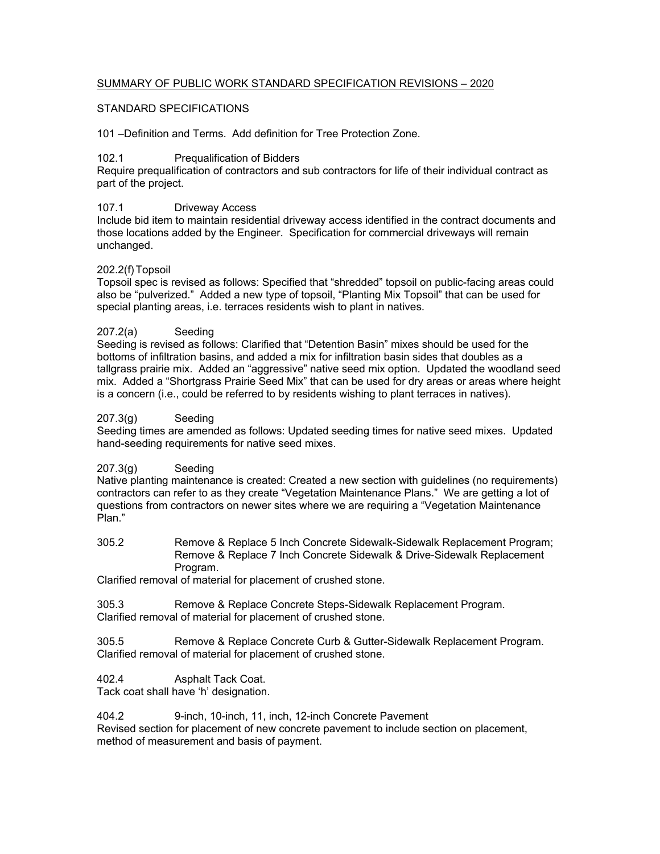## SUMMARY OF PUBLIC WORK STANDARD SPECIFICATION REVISIONS – 2020

#### STANDARD SPECIFICATIONS

101 –Definition and Terms. Add definition for Tree Protection Zone.

#### 102.1 Prequalification of Bidders

Require prequalification of contractors and sub contractors for life of their individual contract as part of the project.

#### 107.1 Driveway Access

Include bid item to maintain residential driveway access identified in the contract documents and those locations added by the Engineer. Specification for commercial driveways will remain unchanged.

#### 202.2(f) Topsoil

Topsoil spec is revised as follows: Specified that "shredded" topsoil on public-facing areas could also be "pulverized." Added a new type of topsoil, "Planting Mix Topsoil" that can be used for special planting areas, i.e. terraces residents wish to plant in natives.

#### 207.2(a) Seeding

Seeding is revised as follows: Clarified that "Detention Basin" mixes should be used for the bottoms of infiltration basins, and added a mix for infiltration basin sides that doubles as a tallgrass prairie mix. Added an "aggressive" native seed mix option. Updated the woodland seed mix. Added a "Shortgrass Prairie Seed Mix" that can be used for dry areas or areas where height is a concern (i.e., could be referred to by residents wishing to plant terraces in natives).

#### 207.3(g) Seeding

Seeding times are amended as follows: Updated seeding times for native seed mixes. Updated hand-seeding requirements for native seed mixes.

#### 207.3(g) Seeding

Native planting maintenance is created: Created a new section with guidelines (no requirements) contractors can refer to as they create "Vegetation Maintenance Plans." We are getting a lot of questions from contractors on newer sites where we are requiring a "Vegetation Maintenance Plan."

305.2 Remove & Replace 5 Inch Concrete Sidewalk-Sidewalk Replacement Program; Remove & Replace 7 Inch Concrete Sidewalk & Drive-Sidewalk Replacement Program.

Clarified removal of material for placement of crushed stone.

305.3 Remove & Replace Concrete Steps-Sidewalk Replacement Program. Clarified removal of material for placement of crushed stone.

305.5 Remove & Replace Concrete Curb & Gutter-Sidewalk Replacement Program. Clarified removal of material for placement of crushed stone.

402.4 Asphalt Tack Coat.

Tack coat shall have 'h' designation.

404.2 9-inch, 10-inch, 11, inch, 12-inch Concrete Pavement

Revised section for placement of new concrete pavement to include section on placement, method of measurement and basis of payment.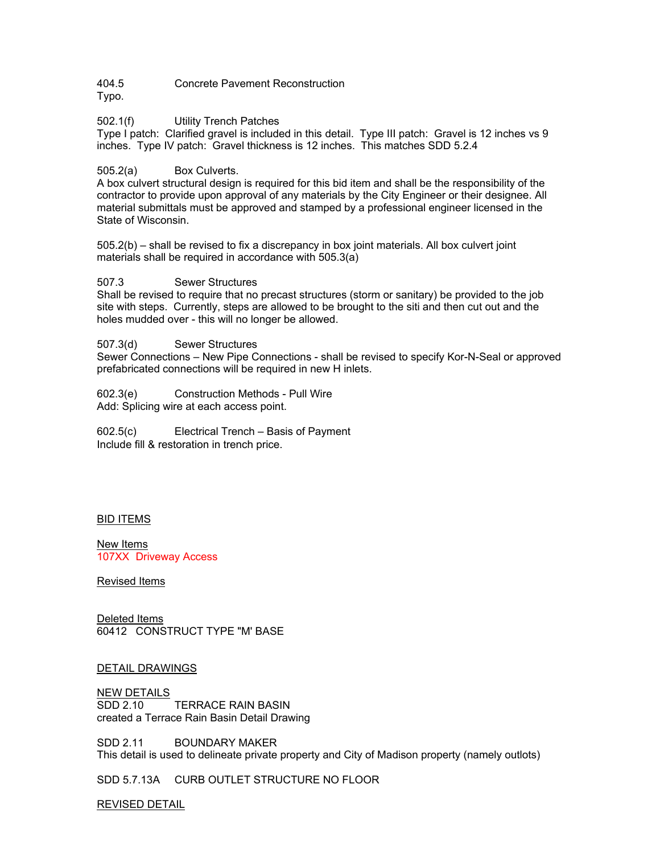404.5 Concrete Pavement Reconstruction

Typo.

502.1(f) Utility Trench Patches

Type I patch: Clarified gravel is included in this detail. Type III patch: Gravel is 12 inches vs 9 inches. Type IV patch: Gravel thickness is 12 inches. This matches SDD 5.2.4

505.2(a) Box Culverts.

A box culvert structural design is required for this bid item and shall be the responsibility of the contractor to provide upon approval of any materials by the City Engineer or their designee. All material submittals must be approved and stamped by a professional engineer licensed in the State of Wisconsin.

505.2(b) – shall be revised to fix a discrepancy in box joint materials. All box culvert joint materials shall be required in accordance with 505.3(a)

507.3 Sewer Structures

Shall be revised to require that no precast structures (storm or sanitary) be provided to the job site with steps. Currently, steps are allowed to be brought to the siti and then cut out and the holes mudded over - this will no longer be allowed.

507.3(d) Sewer Structures

Sewer Connections – New Pipe Connections - shall be revised to specify Kor-N-Seal or approved prefabricated connections will be required in new H inlets.

602.3(e) Construction Methods - Pull Wire Add: Splicing wire at each access point.

602.5(c) Electrical Trench – Basis of Payment Include fill & restoration in trench price.

### BID ITEMS

New Items 107XX Driveway Access

Revised Items

Deleted Items 60412 CONSTRUCT TYPE "M' BASE

#### DETAIL DRAWINGS

NEW DETAILS<br>SDD 2.10 TERRACE RAIN BASIN created a Terrace Rain Basin Detail Drawing

SDD 2.11 BOUNDARY MAKER This detail is used to delineate private property and City of Madison property (namely outlots)

SDD 5.7.13A CURB OUTLET STRUCTURE NO FLOOR

REVISED DETAIL